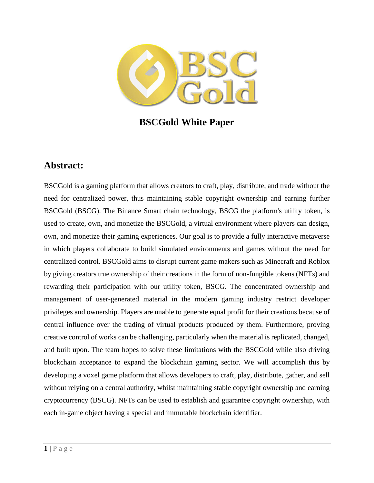

**BSCGold White Paper**

# **Abstract:**

BSCGold is a gaming platform that allows creators to craft, play, distribute, and trade without the need for centralized power, thus maintaining stable copyright ownership and earning further BSCGold (BSCG). The Binance Smart chain technology, BSCG the platform's utility token, is used to create, own, and monetize the BSCGold, a virtual environment where players can design, own, and monetize their gaming experiences. Our goal is to provide a fully interactive metaverse in which players collaborate to build simulated environments and games without the need for centralized control. BSCGold aims to disrupt current game makers such as Minecraft and Roblox by giving creators true ownership of their creations in the form of non-fungible tokens (NFTs) and rewarding their participation with our utility token, BSCG. The concentrated ownership and management of user-generated material in the modern gaming industry restrict developer privileges and ownership. Players are unable to generate equal profit for their creations because of central influence over the trading of virtual products produced by them. Furthermore, proving creative control of works can be challenging, particularly when the material is replicated, changed, and built upon. The team hopes to solve these limitations with the BSCGold while also driving blockchain acceptance to expand the blockchain gaming sector. We will accomplish this by developing a voxel game platform that allows developers to craft, play, distribute, gather, and sell without relying on a central authority, whilst maintaining stable copyright ownership and earning cryptocurrency (BSCG). NFTs can be used to establish and guarantee copyright ownership, with each in-game object having a special and immutable blockchain identifier.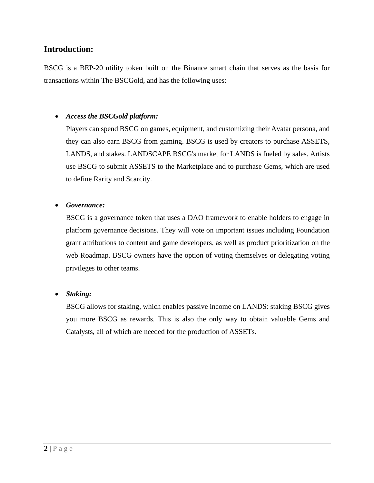### **Introduction:**

BSCG is a BEP-20 utility token built on the Binance smart chain that serves as the basis for transactions within The BSCGold, and has the following uses:

### • *Access the BSCGold platform:*

Players can spend BSCG on games, equipment, and customizing their Avatar persona, and they can also earn BSCG from gaming. BSCG is used by creators to purchase ASSETS, LANDS, and stakes. LANDSCAPE BSCG's market for LANDS is fueled by sales. Artists use BSCG to submit ASSETS to the Marketplace and to purchase Gems, which are used to define Rarity and Scarcity.

#### • *Governance:*

BSCG is a governance token that uses a DAO framework to enable holders to engage in platform governance decisions. They will vote on important issues including Foundation grant attributions to content and game developers, as well as product prioritization on the web Roadmap. BSCG owners have the option of voting themselves or delegating voting privileges to other teams.

#### • *Staking:*

BSCG allows for staking, which enables passive income on LANDS: staking BSCG gives you more BSCG as rewards. This is also the only way to obtain valuable Gems and Catalysts, all of which are needed for the production of ASSETs.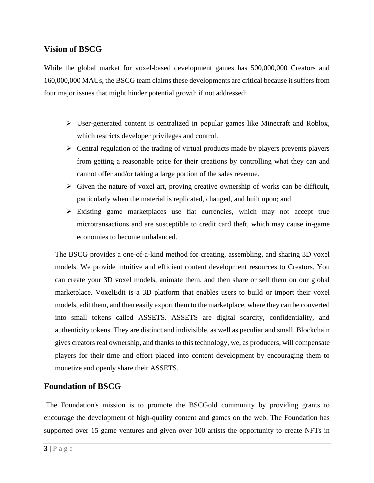## **Vision of BSCG**

While the global market for voxel-based development games has 500,000,000 Creators and 160,000,000 MAUs, the BSCG team claims these developments are critical because it suffers from four major issues that might hinder potential growth if not addressed:

- ➢ User-generated content is centralized in popular games like Minecraft and Roblox, which restricts developer privileges and control.
- $\triangleright$  Central regulation of the trading of virtual products made by players prevents players from getting a reasonable price for their creations by controlling what they can and cannot offer and/or taking a large portion of the sales revenue.
- $\triangleright$  Given the nature of voxel art, proving creative ownership of works can be difficult, particularly when the material is replicated, changed, and built upon; and
- ➢ Existing game marketplaces use fiat currencies, which may not accept true microtransactions and are susceptible to credit card theft, which may cause in-game economies to become unbalanced.

The BSCG provides a one-of-a-kind method for creating, assembling, and sharing 3D voxel models. We provide intuitive and efficient content development resources to Creators. You can create your 3D voxel models, animate them, and then share or sell them on our global marketplace. VoxelEdit is a 3D platform that enables users to build or import their voxel models, edit them, and then easily export them to the marketplace, where they can be converted into small tokens called ASSETS. ASSETS are digital scarcity, confidentiality, and authenticity tokens. They are distinct and indivisible, as well as peculiar and small. Blockchain gives creators real ownership, and thanks to this technology, we, as producers, will compensate players for their time and effort placed into content development by encouraging them to monetize and openly share their ASSETS.

### **Foundation of BSCG**

The Foundation's mission is to promote the BSCGold community by providing grants to encourage the development of high-quality content and games on the web. The Foundation has supported over 15 game ventures and given over 100 artists the opportunity to create NFTs in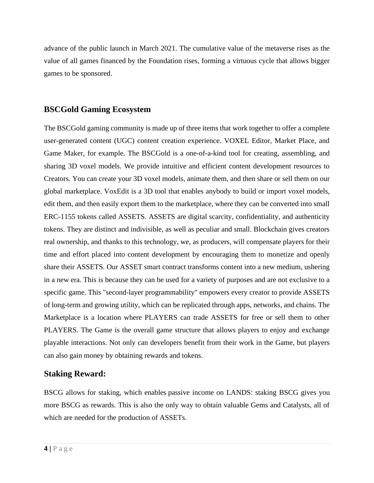advance of the public launch in March 2021. The cumulative value of the metaverse rises as the value of all games financed by the Foundation rises, forming a virtuous cycle that allows bigger games to be sponsored.

## **BSCGold Gaming Ecosystem**

The BSCGold gaming community is made up of three items that work together to offer a complete user-generated content (UGC) content creation experience. VOXEL Editor, Market Place, and Game Maker, for example. The BSCGold is a one-of-a-kind tool for creating, assembling, and sharing 3D voxel models. We provide intuitive and efficient content development resources to Creators. You can create your 3D voxel models, animate them, and then share or sell them on our global marketplace. VoxEdit is a 3D tool that enables anybody to build or import voxel models, edit them, and then easily export them to the marketplace, where they can be converted into small ERC-1155 tokens called ASSETS. ASSETS are digital scarcity, confidentiality, and authenticity tokens. They are distinct and indivisible, as well as peculiar and small. Blockchain gives creators real ownership, and thanks to this technology, we, as producers, will compensate players for their time and effort placed into content development by encouraging them to monetize and openly share their ASSETS. Our ASSET smart contract transforms content into a new medium, ushering in a new era. This is because they can be used for a variety of purposes and are not exclusive to a specific game. This "second-layer programmability" empowers every creator to provide ASSETS of long-term and growing utility, which can be replicated through apps, networks, and chains. The Marketplace is a location where PLAYERS can trade ASSETS for free or sell them to other PLAYERS. The Game is the overall game structure that allows players to enjoy and exchange playable interactions. Not only can developers benefit from their work in the Game, but players can also gain money by obtaining rewards and tokens.

## **Staking Reward:**

BSCG allows for staking, which enables passive income on LANDS: staking BSCG gives you more BSCG as rewards. This is also the only way to obtain valuable Gems and Catalysts, all of which are needed for the production of ASSETs.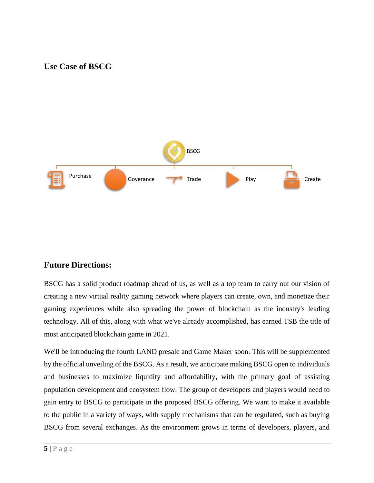# **Use Case of BSCG**



## **Future Directions:**

BSCG has a solid product roadmap ahead of us, as well as a top team to carry out our vision of creating a new virtual reality gaming network where players can create, own, and monetize their gaming experiences while also spreading the power of blockchain as the industry's leading technology. All of this, along with what we've already accomplished, has earned TSB the title of most anticipated blockchain game in 2021.

We'll be introducing the fourth LAND presale and Game Maker soon. This will be supplemented by the official unveiling of the BSCG. As a result, we anticipate making BSCG open to individuals and businesses to maximize liquidity and affordability, with the primary goal of assisting population development and ecosystem flow. The group of developers and players would need to gain entry to BSCG to participate in the proposed BSCG offering. We want to make it available to the public in a variety of ways, with supply mechanisms that can be regulated, such as buying BSCG from several exchanges. As the environment grows in terms of developers, players, and